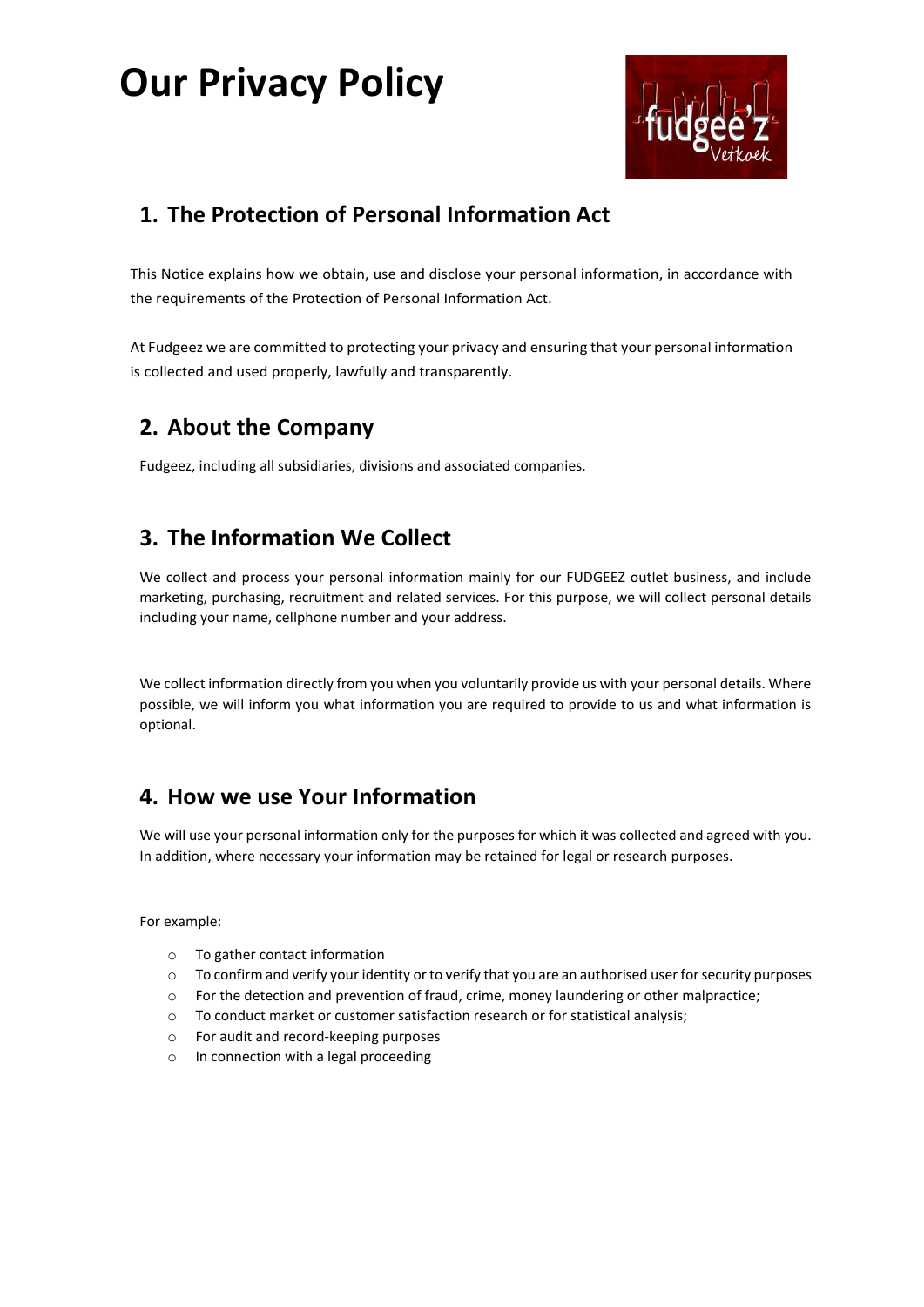# **Our Privacy Policy**



## **1. The Protection of Personal Information Act**

This Notice explains how we obtain, use and disclose your personal information, in accordance with the requirements of the Protection of Personal Information Act.

At Fudgeez we are committed to protecting your privacy and ensuring that your personal information is collected and used properly, lawfully and transparently.

## **2. About the Company**

Fudgeez, including all subsidiaries, divisions and associated companies.

## **3. The Information We Collect**

We collect and process your personal information mainly for our FUDGEEZ outlet business, and include marketing, purchasing, recruitment and related services. For this purpose, we will collect personal details including your name, cellphone number and your address.

We collect information directly from you when you voluntarily provide us with your personal details. Where possible, we will inform you what information you are required to provide to us and what information is optional.

#### **4. How we use Your Information**

We will use your personal information only for the purposes for which it was collected and agreed with you. In addition, where necessary your information may be retained for legal or research purposes.

For example:

- o To gather contact information
- $\circ$  To confirm and verify your identity or to verify that you are an authorised user for security purposes
- $\circ$  For the detection and prevention of fraud, crime, money laundering or other malpractice;
- o To conduct market or customer satisfaction research or for statistical analysis;
- o For audit and record-keeping purposes
- o In connection with a legal proceeding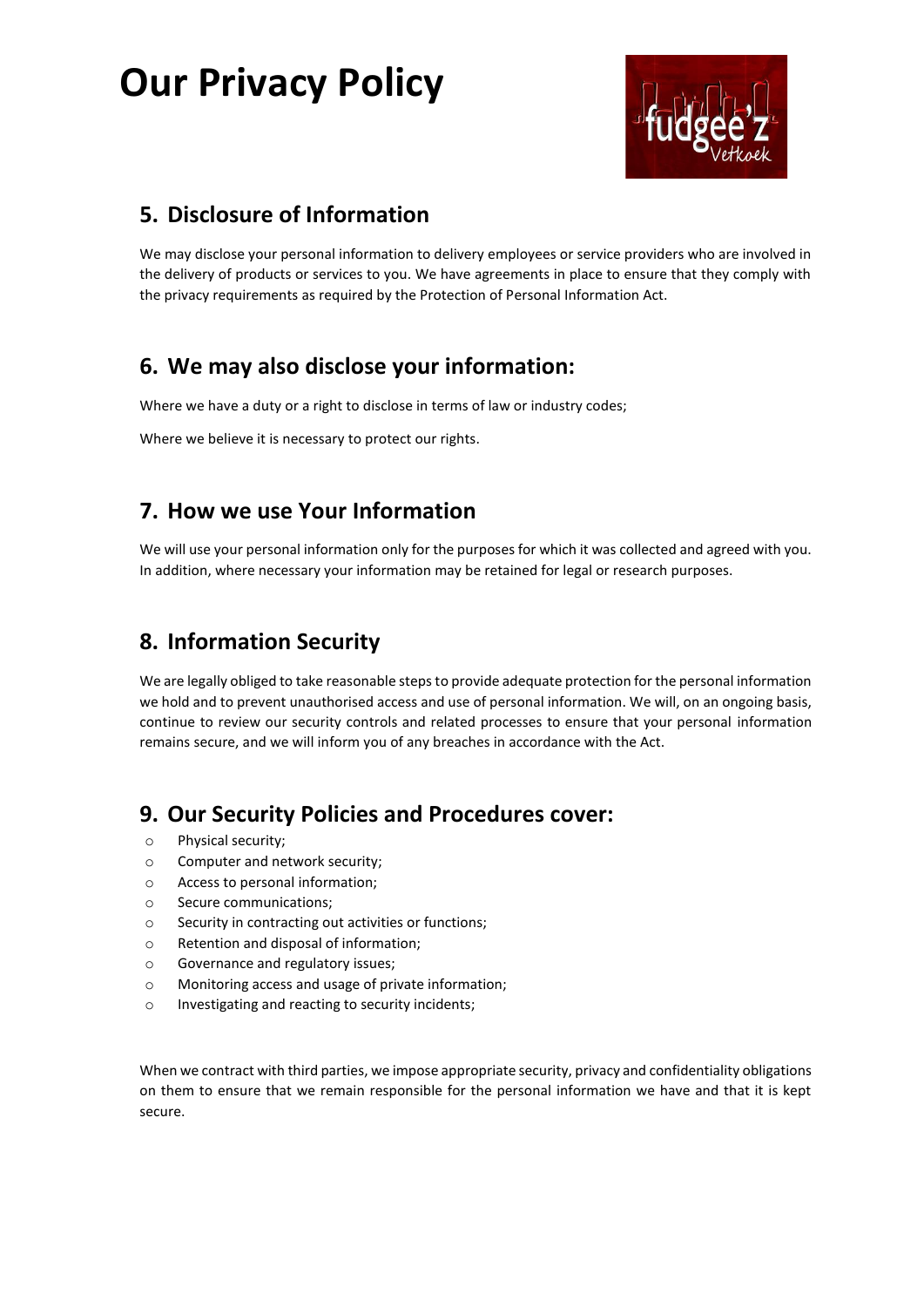# **Our Privacy Policy**



## **5. Disclosure of Information**

We may disclose your personal information to delivery employees or service providers who are involved in the delivery of products or services to you. We have agreements in place to ensure that they comply with the privacy requirements as required by the Protection of Personal Information Act.

### **6. We may also disclose your information:**

Where we have a duty or a right to disclose in terms of law or industry codes;

Where we believe it is necessary to protect our rights.

#### **7. How we use Your Information**

We will use your personal information only for the purposes for which it was collected and agreed with you. In addition, where necessary your information may be retained for legal or research purposes.

### **8. Information Security**

We are legally obliged to take reasonable steps to provide adequate protection for the personal information we hold and to prevent unauthorised access and use of personal information. We will, on an ongoing basis, continue to review our security controls and related processes to ensure that your personal information remains secure, and we will inform you of any breaches in accordance with the Act.

#### **9. Our Security Policies and Procedures cover:**

- o Physical security;
- o Computer and network security;
- o Access to personal information;
- o Secure communications;
- o Security in contracting out activities or functions;
- o Retention and disposal of information;
- o Governance and regulatory issues;
- o Monitoring access and usage of private information;
- o Investigating and reacting to security incidents;

When we contract with third parties, we impose appropriate security, privacy and confidentiality obligations on them to ensure that we remain responsible for the personal information we have and that it is kept secure.